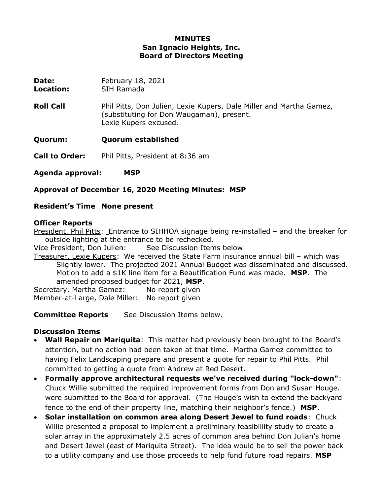### **MINUTES San Ignacio Heights, Inc. Board of Directors Meeting**

**Date:** February 18, 2021

**Location:** SIH Ramada

**Roll Call** Phil Pitts, Don Julien, Lexie Kupers, Dale Miller and Martha Gamez, (substituting for Don Waugaman), present. Lexie Kupers excused.

**Quorum: Quorum established**

**Call to Order:** Phil Pitts, President at 8:36 am

**Agenda approval: MSP**

**Approval of December 16, 2020 Meeting Minutes: MSP**

### **Resident's Time None present**

#### **Officer Reports**

President, Phil Pitts: Entrance to SIHHOA signage being re-installed – and the breaker for outside lighting at the entrance to be rechecked.

Vice President, Don Julien: See Discussion Items below

Treasurer, Lexie Kupers: We received the State Farm insurance annual bill – which was Slightly lower. The projected 2021 Annual Budget was disseminated and discussed. Motion to add a \$1K line item for a Beautification Fund was made. **MSP**. The amended proposed budget for 2021, **MSP**.

Secretary, Martha Gamez: No report given Member-at-Large, Dale Miller: No report given

**Committee Reports** See Discussion Items below.

#### **Discussion Items**

- **Wall Repair on Mariquita**: This matter had previously been brought to the Board's attention, but no action had been taken at that time. Martha Gamez committed to having Felix Landscaping prepare and present a quote for repair to Phil Pitts. Phil committed to getting a quote from Andrew at Red Desert.
- **Formally approve architectural requests we've received during "lock-down"**: Chuck Willie submitted the required improvement forms from Don and Susan Houge. were submitted to the Board for approval. (The Houge's wish to extend the backyard fence to the end of their property line, matching their neighbor's fence.) **MSP**.
- **Solar installation on common area along Desert Jewel to fund roads**: Chuck Willie presented a proposal to implement a preliminary feasibiliity study to create a solar array in the approximately 2.5 acres of common area behind Don Julian's home and Desert Jewel (east of Mariquita Street). The idea would be to sell the power back to a utility company and use those proceeds to help fund future road repairs. **MSP**